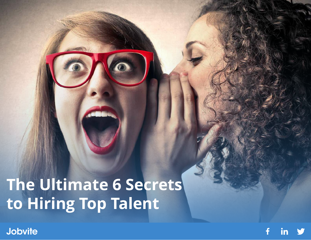**The Ultimate 6 Secrets to Hiring Top Talent**

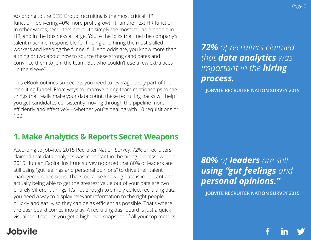According to the BCG Group, recruiting is the most critical HR function--delivering 40% more profit growth than the next HR function. In other words, recruiters are quite simply the most valuable people in HR, and in the business at large. You're the folks that fuel the company's talent machine, responsible for finding and hiring the most skilled workers and keeping the funnel full. And odds are, you know more than a thing or two about how to source these strong candidates and convince them to join the team. But who couldn't use a few extra aces up the sleeve?

This eBook outlines six secrets you need to leverage every part of the recruiting funnel. From ways to improve hiring team relationships to the things that really make your data count, these recruiting hacks will help you get candidates consistently moving through the pipeline more efficiently and effectively—whether you're dealing with 10 requisitions or 100.

## **1. Make Analytics & Reports Secret Weapons**

According to Jobvite's 2015 Recruiter Nation Survey, 72% of recruiters claimed that data analytics was important in the hiring process--while a 2015 Human Capital Institute survey reported that 80% of leaders are still using "gut feelings and personal opinions" to drive their talent management decisions. That's because knowing data is important and actually being able to get the greatest value out of your data are two entirely different things. It's not enough to simply collect recruiting data; you need a way to display relevant information to the right people quickly and easily, so they can be as efficient as possible. That's where the dashboard comes into play. A recruiting dashboard is just a quick visual tool that lets you get a high-level snapshot of all your top metrics.

## **Jobvite**

*72% of recruiters claimed that data analytics was important in the hiring process.*

 **JOBVITE RECRUITER NATION SURVEY 2015**

*80% of leaders are still using "gut feelings and personal opinions."*

 **JOBVITE RECRUITER NATION SURVEY 2015**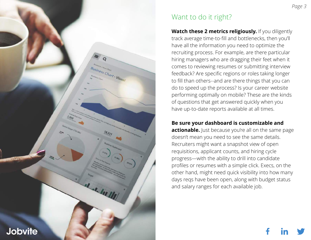

## Want to do it right?

Watch these 2 metrics religiously. If you diligently track average time-to-fill and bottlenecks, then you'll have all the information you need to optimize the recruiting process. For example, are there particular hiring managers who are dragging their feet when it comes to reviewing resumes or submitting interview feedback? Are specific regions or roles taking longer to fill than others--and are there things that you can do to speed up the process? Is your career website performing optimally on mobile? These are the kinds of questions that get answered quickly when you have up-to-date reports available at all times.

### **Be sure your dashboard is customizable and**

**actionable.** Just because you're all on the same page doesn't mean you need to see the same details. Recruiters might want a snapshot view of open requisitions, applicant counts, and hiring cycle progress—with the ability to drill into candidate profiles or resumes with a simple click. Execs, on the other hand, might need quick visibility into how many days reqs have been open, along with budget status and salary ranges for each available job.

*Page 3*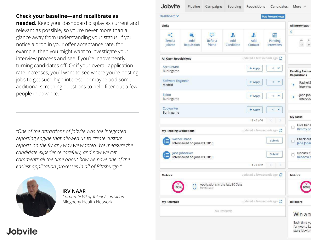### **Check your baseline—and recalibrate as**

**needed.** Keep your dashboard display as current and relevant as possible, so you're never more than a glance away from understanding your status. If you notice a drop in your offer acceptance rate, for example, then you might want to investigate your interview process and see if you're inadvertently turning candidates off. Or if your overall application rate increases, you'll want to see where you're posting jobs to get such high interest--or maybe add some additional screening questions to help filter out a few people in advance.

*"One of the attractions of Jobvite was the integrated reporting engine that allowed us to create custom reports on the fly any way we wanted. We measure the candidate experience carefully, and now we get comments all the time about how we have one of the easiest application processes in all of Pittsburgh."* 



**IRV NAAR** *Corporate VP of Talent Acquisition* Allegheny Health Network

| Dashboard v                                                        |                    |                                                    |                        |                      | <b>May Release Notes</b>               |                                                                   |
|--------------------------------------------------------------------|--------------------|----------------------------------------------------|------------------------|----------------------|----------------------------------------|-------------------------------------------------------------------|
|                                                                    |                    |                                                    |                        |                      |                                        |                                                                   |
| Links                                                              |                    |                                                    |                        |                      |                                        | All Interviews -                                                  |
| ⊲<br>Send a<br>Jobvite                                             | Add<br>Requisition | $\mathbb{R}^{n \times n}$<br>Refer a<br>friend     | л.<br>Add<br>Candidate | ı.<br>Add<br>Contact | 篇<br>Pending<br>Interviews             | $\left\langle \right\rangle$<br>Mo<br>Tu<br>14<br>13 <sup>°</sup> |
| <b>All Open Requisitions</b>                                       |                    |                                                    |                        |                      | updated a few seconds ago $\mathcal G$ |                                                                   |
| Accountant<br>$\mathcal{L}_{\mathcal{C}}$<br>+ Apply<br>Burlingame |                    |                                                    |                        |                      |                                        | <b>Pending Evalua</b><br><b>Requisitions</b>                      |
| Software Engineer<br>×,<br>$+$ Apply<br>Madrid                     |                    |                                                    |                        |                      |                                        | Rachel S<br>Interviev                                             |
| Editor<br>$+$ Apply<br>s,<br>Burlingame                            |                    |                                                    |                        |                      |                                        | Jane Jobs<br>Interview                                            |
| Copywriter<br>Burlingame                                           |                    |                                                    |                        | + Apply              | 4<br>٧                                 |                                                                   |
|                                                                    |                    |                                                    |                        | $1 - 4 of 4$         | č<br>х                                 | My Tasks                                                          |
| updated a few seconds ago $C$<br><b>My Pending Evaluations</b>     |                    |                                                    |                        |                      |                                        | Give her a<br><b>Kimmy Sc</b>                                     |
| Rachel Shane<br>Submit<br>Interviewed on June 03, 2016             |                    |                                                    |                        |                      |                                        | Check out<br>Jane Jobse                                           |
| Jane Jobseeker<br>Submit<br>Interviewed on June 03, 2016           |                    |                                                    |                        |                      |                                        | Discuss if<br>Rebecca N                                           |
|                                                                    |                    |                                                    |                        | $1 - 2$ of 2         |                                        |                                                                   |
| updated a few seconds ago $\mathcal{C}$<br><b>Metrics</b>          |                    |                                                    |                        |                      |                                        | <b>Metrics</b>                                                    |
|                                                                    |                    | Applications in the last 30 Days<br>From Recruiter |                        |                      |                                        |                                                                   |
| <b>My Referrals</b>                                                |                    |                                                    |                        |                      | updated a few seconds ago              | <b>Billboard</b>                                                  |
| No Referrals                                                       |                    |                                                    |                        |                      |                                        | Win a ti                                                          |
|                                                                    |                    |                                                    |                        |                      |                                        | Each time yo<br>for two to La<br>start Jobvitin                   |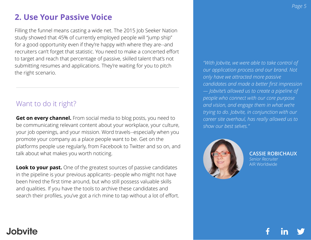## **2. Use Your Passive Voice**

Filling the funnel means casting a wide net. The 2015 Job Seeker Nation study showed that 45% of currently employed people will "jump ship" for a good opportunity even if they're happy with where they are--and recruiters can't forget that statistic. You need to make a concerted effort to target and reach that percentage of passive, skilled talent that's not submitting resumes and applications. They're waiting for you to pitch the right scenario.

## Want to do it right?

**Get on every channel.** From social media to blog posts, you need to be communicating relevant content about your workplace, your culture, your job openings, and your mission. Word travels--especially when you promote your company as a place people want to be. Get on the platforms people use regularly, from Facebook to Twitter and so on, and talk about what makes you worth noticing.

**Look to your past.** One of the greatest sources of passive candidates in the pipeline is your previous applicants--people who might not have been hired the first time around, but who still possess valuable skills and qualities. If you have the tools to archive these candidates and search their profiles, you've got a rich mine to tap without a lot of effort. *"With Jobvite, we were able to take control of our application process and our brand. Not only have we attracted more passive candidates and made a better first impression — Jobvite's allowed us to create a pipeline of people who connect with our core purpose and vision, and engage them in what we're trying to do. Jobvite, in conjunction with our career site overhaul, has really allowed us to show our best selves."*



**CASSIE ROBICHAUX** *Senior Recruiter* AIR Worldwide

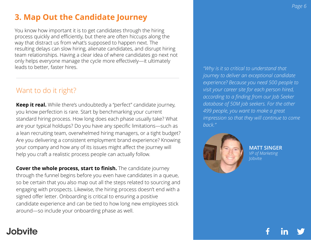## **3. Map Out the Candidate Journey**

You know how important it is to get candidates through the hiring process quickly and efficiently, but there are often hiccups along the way that distract us from what's supposed to happen next. The resulting delays can slow hiring, alienate candidates, and disrupt hiring team relationships. Having a clear idea of where candidates go next not only helps everyone manage the cycle more effectively—it ultimately leads to better, faster hires.

## Want to do it right?

**Keep it real.** While there's undoubtedly a "perfect" candidate journey, you know perfection is rare. Start by benchmarking your current standard hiring process. How long does each phase usually take? What are your typical holdups? Do you have any specific limitations—such as a lean recruiting team, overwhelmed hiring managers, or a tight budget? Are you delivering a consistent employment brand experience? Knowing your company and how any of its issues might affect the journey will help you craft a realistic process people can actually follow.

**Cover the whole process, start to finish.** The candidate journey through the funnel begins before you even have candidates in a queue, so be certain that you also map out all the steps related to sourcing and engaging with prospects. Likewise, the hiring process doesn't end with a signed offer letter. Onboarding is critical to ensuring a positive candidate experience and can be tied to how long new employees stick around—so include your onboarding phase as well.

*"Why is it so critical to understand that journey to deliver an exceptional candidate experience? Because you need 500 people to visit your career site for each person hired, according to a finding from our Job Seeker database of 50M job seekers. For the other 499 people, you want to make a great impression so that they will continue to come back."*



**MATT SINGER** *VP of Marketing* **Jobvite**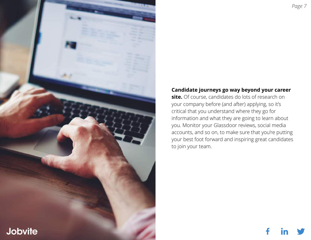

### **Candidate journeys go way beyond your career**

**site.** Of course, candidates do lots of research on your company before (and after) applying, so it's critical that you understand where they go for information and what they are going to learn about you. Monitor your Glassdoor reviews, social media accounts, and so on, to make sure that you're putting your best foot forward and inspiring great candidates to join your team.



f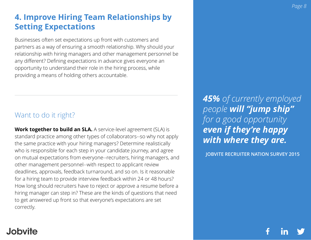## **4. Improve Hiring Team Relationships by Setting Expectations**

Businesses often set expectations up front with customers and partners as a way of ensuring a smooth relationship. Why should your relationship with hiring managers and other management personnel be any different? Defining expectations in advance gives everyone an opportunity to understand their role in the hiring process, while providing a means of holding others accountable.

## Want to do it right?

**Work together to build an SLA.** A service-level agreement (SLA) is standard practice among other types of collaborators--so why not apply the same practice with your hiring managers? Determine realistically who is responsible for each step in your candidate journey, and agree on mutual expectations from everyone--recruiters, hiring managers, and other management personnel--with respect to applicant review deadlines, approvals, feedback turnaround, and so on. Is it reasonable for a hiring team to provide interview feedback within 24 or 48 hours? How long should recruiters have to reject or approve a resume before a hiring manager can step in? These are the kinds of questions that need to get answered up front so that everyone's expectations are set correctly.

*45% of currently employed people will "jump ship" for a good opportunity even if they're happy with where they are.*

 **JOBVITE RECRUITER NATION SURVEY 2015**

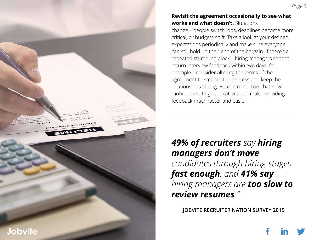#### **Revisit the agreement occasionally to see what works and what doesn't.** Situations

change—people switch jobs, deadlines become more critical, or budgets shift. Take a look at your defined expectations periodically and make sure everyone can still hold up their end of the bargain. If there's a repeated stumbling block—hiring managers cannot return interview feedback within two days, for example—consider altering the terms of the agreement to smooth the process and keep the relationships strong. Bear in mind, too, that new mobile recruiting applications can make providing feedback much faster and easier!

*49% of recruiters say hiring managers don't move candidates through hiring stages fast enough, and 41% say hiring managers are too slow to review resumes."*

 **JOBVITE RECRUITER NATION SURVEY 2015**

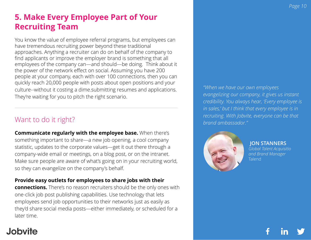## **5. Make Every Employee Part of Your Recruiting Team**

You know the value of employee referral programs, but employees can have tremendous recruiting power beyond these traditional approaches. Anything a recruiter can do on behalf of the company to find applicants or improve the employer brand is something that all employees of the company can—and should—be doing. Think about it the power of the network effect on social. Assuming you have 200 people at your company, each with over 100 connections, then you can quickly reach 20,000 people with posts about open positions and your culture--without it costing a dime.submitting resumes and applications. They're waiting for you to pitch the right scenario.

## Want to do it right?

**Communicate regularly with the employee base.** When there's something important to share—a new job opening, a cool company statistic, updates to the corporate values—get it out there through a company-wide email or meetings, on a blog post, or on the intranet. Make sure people are aware of what's going on in your recruiting world, so they can evangelize on the company's behalf.

**Provide easy outlets for employees to share jobs with their connections.** There's no reason recruiters should be the only ones with one-click job post publishing capabilities. Use technology that lets employees send job opportunities to their networks just as easily as they'd share social media posts—either immediately, or scheduled for a later time.

### *"When we have our own employees evangelizing our company, it gives us instant credibility. You always hear, 'Every employee is in sales,' but I think that every employee is in recruiting. With Jobvite, everyone can be that brand ambassador."*



 **JON STANNERS** *Global Talent Acquisitio and Brand Manager* Talend

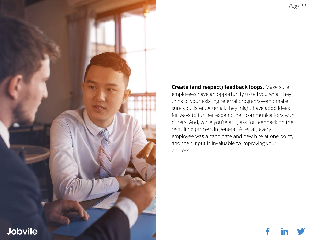

**Create (and respect) feedback loops.** Make sure employees have an opportunity to tell you what they think of your existing referral programs—and make sure you listen. After all, they might have good ideas for ways to further expand their communications with others. And, while you're at it, ask for feedback on the recruiting process in general. After all, every employee was a candidate and new hire at one point, and their input is invaluable to improving your process.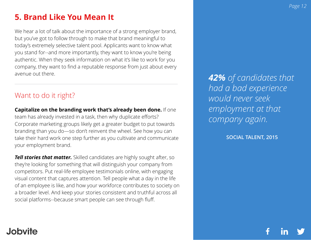## **5. Brand Like You Mean It**

We hear a lot of talk about the importance of a strong employer brand, but you've got to follow through to make that brand meaningful to today's extremely selective talent pool. Applicants want to know what you stand for--and more importantly, they want to know you're being authentic. When they seek information on what it's like to work for you company, they want to find a reputable response from just about every avenue out there.

## Want to do it right?

**Capitalize on the branding work that's already been done.** If one team has already invested in a task, then why duplicate efforts? Corporate marketing groups likely get a greater budget to put towards branding than you do—so don't reinvent the wheel. See how you can take their hard work one step further as you cultivate and communicate your employment brand.

*Tell stories that matter.* Skilled candidates are highly sought after, so they're looking for something that will distinguish your company from competitors. Put real-life employee testimonials online, with engaging visual content that captures attention. Tell people what a day in the life of an employee is like, and how your workforce contributes to society on a broader level. And keep your stories consistent and truthful across all social platforms--because smart people can see through fluff.

*42% of candidates that had a bad experience would never seek employment at that company again.*

**SOCIAL TALENT, 2015**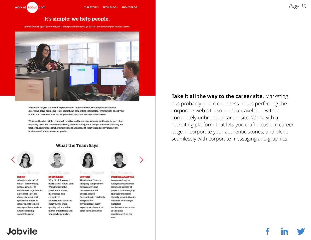

#### It's simple: we help people.

About.com isn't just your next job; it's the place where you go to start the next chapter in your career



We are the largest source for Expert content on the Internet that helps users answer questions, solve problems, learn something new or find inspiration. Whether it's about your home, your finances, your car, or your next vacation, we've got the answer.

We're looking for bright, engaged, creative and fun people who are looking to be part of an Inspiring team. We value transparency, accountability, data, design and fresh thinking. Be part of an environment where suggestions and ideas at every level directly impact the business and add value to our product.

#### **What the Team Says**



#### **DESIGN**

**Jobvite** 

About.com is full of smart, hardworking, people who get to collaborate together. As a designer I get the chance to work with specialists across all departments to help solve problems and am always learning something new.



**ENGINEERING** 

Working with the

interesting and

committed

**CONTENT** Why I look forward to The Content Team is every day at About.com: uniquely comprised of both creative and passionate, smart, business-minded people. I enjoy developing in this lively professionals each and and positive every day to build environment. In my quality software that experience, there is no makes a difference and place like About.com. you can be proud of.



#### **BUSINESS/ANALYTICS**

I enjoy working in Analytics because the scope and variety of projects is challenging, and their outcomes directly impact About's business. Our Google Analytics implementation is one of the most sophisticated on the web.

**Take it all the way to the career site.** Marketing

has probably put in countless hours perfecting the corporate web site, so don't unravel it all with a completely unbranded career site. Work with a recruiting platform that lets you craft a custom career page, incorporate your authentic stories, and blend seamlessly with corporate messaging and graphics.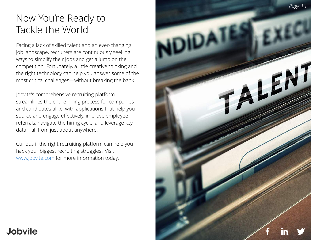# Now You're Ready to Tackle the World

Facing a lack of skilled talent and an ever-changing job landscape, recruiters are continuously seeking ways to simplify their jobs and get a jump on the competition. Fortunately, a little creative thinking and the right technology can help you answer some of the most critical challenges—without breaking the bank.

Jobvite's comprehensive recruiting platform streamlines the entire hiring process for companies and candidates alike, with applications that help you source and engage effectively, improve employee referrals, navigate the hiring cycle, and leverage key data—all from just about anywhere.

Curious if the right recruiting platform can help you hack your biggest recruiting struggles? Visit www.jobvite.com for more information today.